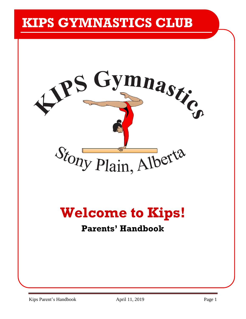# **KIPS GYMNASTICS CLUB**



# **Welcome to Kips!**

## **Parents' Handbook**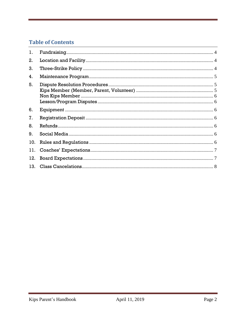## **Table of Contents**

| 1.  |  |
|-----|--|
| 2.  |  |
| 3.  |  |
| 4.  |  |
| 5.  |  |
| 6.  |  |
| 7.  |  |
| 8.  |  |
| 9.  |  |
| 10. |  |
| 11. |  |
| 12. |  |
| 13. |  |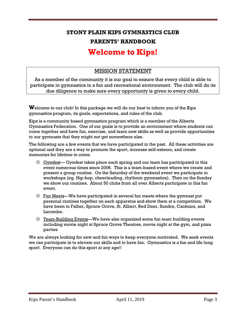## **STONY PLAIN KIPS GYMNASTICS CLUB PARENTS' HANDBOOK**

## **Welcome to Kips!**

## MISSION STATEMENT

As a member of the community it is our goal to ensure that every child is able to participate in gymnastics in a fun and recreational environment. The club will do its due diligence to make sure every opportunity is given to every child.

**W**elcome to our club! In this package we will do our best to inform you of the Kips gymnastics program, its goals, expectations, and rules of the club.

Kips is a community based gymnastics program which is a member of the Alberta Gymnastics Federation. One of our goals is to provide an environment where students can come together and have fun, exercise, and learn new skills as well as provide opportunities to our gymnasts that they might not get somewhere else.

The following are a few events that we have participated in the past. All these activities are optional and they are a way to promote the sport, increase self-esteem, and create memories for lifetime to come.

- $\odot$  Gymfest— Gymfest takes place each spring and our team has participated in this event numerous times since 2006. This is a team-based event where we create and present a group routine. On the Saturday of the weekend event we participate in workshops (eg. Hip-hop, cheerleading, rhythmic gymnastics). Then on the Sunday we show our routines. About 50 clubs from all over Alberta participate in this fun event.
- ☺ Fun Meets—We have participated in several fun meets where the gymnast put personal routines together on each apparatus and show them at a competition. We have been to Falher, Spruce Grove, St. Albert, Red Deer, Sundre, Carstairs, and Lacombe.
- ☺ Team-Building Events—We have also organized some fun team building events including movie night at Spruce Grove Theatres, movie night at the gym, and pizza parties

We are always looking for new and fun ways to keep everyone motivated. We seek events we can participate in to elevate our skills and to have fun. Gymnastics is a fun and life long sport. Everyone can do this sport at any age!!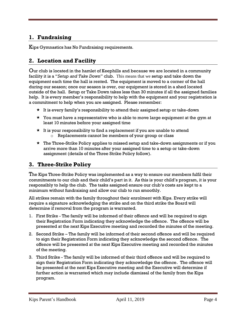## <span id="page-3-0"></span>**1. Fundraising**

Kips Gymnastics has No Fundraising requirements.

## <span id="page-3-1"></span>**2. Location and Facility**

Our club is located in the hamlet of Keephills and because we are located in a community facility it is a "*Setup and Take Down*" club. This means that we setup and take down the equipment each time the hall is rented. The equipment is moved to a corner of the hall during our season; once our season is over, our equipment is stored in a shed located outside of the hall. Setup or Take Down takes less than 30 minutes if all the assigned families help. It is every member's responsibility to help with the equipment and your registration is a commitment to help when you are assigned. Please remember:

- $\star$  It is every family's responsibility to attend their assigned setup or take-down
- $\star$  You must have a representative who is able to move large equipment at the gym at least 10 minutes before your assigned time
- $\star$  It is your responsibility to find a replacement if you are unable to attend o Replacements cannot be members of your group or class
- $\star$  The Three-Strike Policy applies to missed setup and take-down assignments or if you arrive more than 10 minutes after your assigned time to a setup or take-down assignment (details of the Three Strike Policy follow).

## <span id="page-3-2"></span>**3. Three-Strike Policy**

The Kips Three-Strike Policy was implemented as a way to ensure our members fulfil their commitments to our club and their child's part in it. As this is your child's program, it is your responsibly to help the club. The tasks assigned ensure our club's costs are kept to a minimum without fundraising and allow our club to run smoothly.

All strikes remain with the family throughout their enrolment with Kips. Every strike will require a signature acknowledging the strike and on the third strike the Board will determine if removal from the program is warranted.

- 1. First Strike The family will be informed of their offence and will be required to sign their Registration Form indicating they acknowledge the offence. The offence will be presented at the next Kips Executive meeting and recorded the minutes of the meeting.
- 2. Second Strike The family will be informed of their second offence and will be required to sign their Registration Form indicating they acknowledge the second offence. The offence will be presented at the next Kips Executive meeting and recorded the minutes of the meeting.
- 3. Third Strike The family will be informed of their third offence and will be required to sign their Registration Form indicating they acknowledge the offence. The offence will be presented at the next Kips Executive meeting and the Executive will determine if further action is warranted which may include dismissal of the family from the Kips program.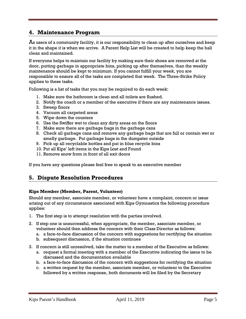## <span id="page-4-0"></span>**4. Maintenance Program**

As users of a community facility, it is our responsibility to clean up after ourselves and keep it in the shape it is when we arrive. A Parent Help List will be created to help keep the hall clean and maintained.

If everyone helps to maintain our facility by making sure their shoes are removed at the door, putting garbage in appropriate bins, picking up after themselves, than the weekly maintenance should be kept to minimum. If you cannot fulfill your week, you are responsible to ensure all of the tasks are completed that week. The Three-Strike Policy applies to these tasks.

Following is a list of tasks that you may be required to do each week:

- 1. Make sure the bathroom is clean and all toilets are flushed.
- 2. Notify the coach or a member of the executive if there are any maintenance issues.
- 3. Sweep floors
- 4. Vacuum all carpeted areas
- 5. Wipe down the counters
- 6. Use the Swiffer wet to clean any dirty areas on the floors
- 7. Make sure there are garbage bags in the garbage cans
- 8. Check all garbage cans and remove any garbage bags that are full or contain wet or smelly garbage. Put garbage bags in the dumpster outside
- 9. Pick up all recyclable bottles and put in blue recycle bins
- 10. Put all Kips' left items in the Kips Lost and Found
- 11. Remove snow from in front of all exit doors

If you have any questions please feel free to speak to an executive member

## <span id="page-4-1"></span>**5. Dispute Resolution Procedures**

#### <span id="page-4-2"></span>**Kips Member (Member, Parent, Volunteer)**

Should any member, associate member, or volunteer have a complaint, concern or issue arising out of any circumstance associated with Kips Gymnastics the following procedure applies:

- 1. The first step is to attempt resolution with the parties involved.
- 2. If step one is unsuccessful, when appropriate, the member, associate member, or volunteer should then address the concern with their Class Director as follows:
	- a. a face-to-face discussion of the concern with suggestions for rectifying the situation
	- b. subsequent discussion, if the situation continues
- 3. If concern is still unresolved, take the matter to a member of the Executive as follows:
	- a. request a formal meeting with a member of the Executive indicating the issue to be discussed and the documentation available
	- b. a face-to-face discussion of the concern with suggestions for rectifying the situation
	- c. a written request by the member, associate member, or volunteer to the Executive followed by a written response, both documents will be filed by the Secretary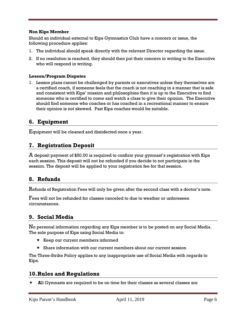#### <span id="page-5-0"></span>**Non Kips Member**

Should an individual external to Kips Gymnastics Club have a concern or issue, the following procedure applies:

- 1. The individual should speak directly with the relevant Director regarding the issue.
- 2. If no resolution is reached, they should then put their concern in writing to the Executive who will respond in writing.

#### <span id="page-5-1"></span>**Lesson/Program Disputes**

1. Lesson plans cannot be challenged by parents or executives unless they themselves are a certified coach, if someone feels that the coach is not coaching in a manner that is safe and consistent with Kips' mission and philosophies then it is up to the Executive to find someone who is certified to come and watch a class to give their opinion. The Executive should find someone who coaches or has coached in a recreational manner to ensure their opinion is not skewed. Past Kips coaches would be suitable.

#### <span id="page-5-2"></span>**6. Equipment**

Equipment will be cleaned and disinfected once a year.

### <span id="page-5-3"></span>**7. Registration Deposit**

 ${\bf A}$  deposit payment of \$50.00 is required to confirm your gymnast's registration with Kips each session. This deposit will not be refunded if you decide to not participate in the session. The deposit will be applied to your registration fee for that session.

## <span id="page-5-4"></span>**8. Refunds**

Refunds of Registration Fees will only be given after the second class with a doctor's note.

Fees will not be refunded for classes canceled to due to weather or unforeseen circumstances.

#### <span id="page-5-5"></span>**9. Social Media**

No personal information regarding any Kips member is to be posted on any Social Media. The sole purpose of Kips using Social Media to:

- $\star$  Keep our current members informed
- $\star$  Share information with our current members about our current session

The Three-Strike Policy applies to any inappropriate use of Social Media with regards to Kips.

## <span id="page-5-6"></span>**10.Rules and Regulations**

**A**ll Gymnasts are required to be on time for their classes as several classes are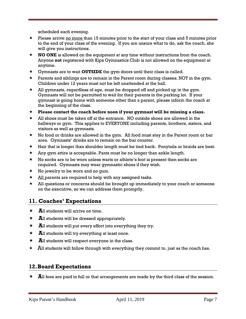scheduled each evening.

- $\star$  Please arrive <u>no more</u> than 15 minutes prior to the start of your class and 5 minutes prior to the end of your class of the evening. If you are unsure what to do, ask the coach, she will give you instructions.
- **NO ONE** is allowed on the equipment at any time without instructions from the coach. Anyone **not** registered with Kips Gymnastics Club is not allowed on the equipment at anytime.
- $\star$  Gymnasts are to wait **OUTSIDE** the gym doors until their class is called.
- $\star$  Parents and siblings are to remain in the Parent room during classes; NOT in the gym. Children under 12 years must not be left unattended at the hall.
- $\star$  All gymnasts, regardless of age, must be dropped off and picked up in the gym. Gymnasts will not be permitted to wait for their parents in the parking lot. If your gymnast is going home with someone other than a parent, please inform the coach at the beginning of the class.
- **Please contact the coach before noon if your gymnast will be missing a class.**
- $\star$  All shoes must be taken off at the entrance. NO outside shoes are allowed in the hallways or gym. This applies to EVERYONE including parents, brothers, sisters, and visitors as well as gymnasts.
- $\star$  No food or drinks are allowed in the gym. All food must stay in the Parent room or bar area. Gymnasts' drinks are to remain on the bar counter.
- $\star$  Hair that is longer than shoulder length must be tied back. Ponytails or braids are best.
- $\star$  Any gym attire is acceptable. Pants must be no longer than ankle length.
- $\star$  No socks are to be worn unless warts or athlete's foot is present then socks are required. Gymnasts may wear gymnastic shoes if they wish.
- $\star$  No jewelry to be worn and no gum.
- $\star$  All parents are required to help with any assigned tasks.
- $\star$  All questions or concerns should be brought up immediately to your coach or someone on the executive, so we can address them promptly.

## <span id="page-6-0"></span>**11. Coaches' Expectations**

- $\star$  **A**ll students will arrive on time.
- $\star$  **A**ll students will be dressed appropriately.
- $\star$  **A**ll students will put every effort into everything they try.
- $\star$  **A**ll students will try everything at least once.
- $\star$  **A**ll students will respect everyone in the class.
- $\star$  All students will follow through with everything they commit to, just as the coach has.

#### <span id="page-6-1"></span>**12.Board Expectations**

 $\star$  **A**ll fees are paid in full or that arrangements are made by the third class of the session.